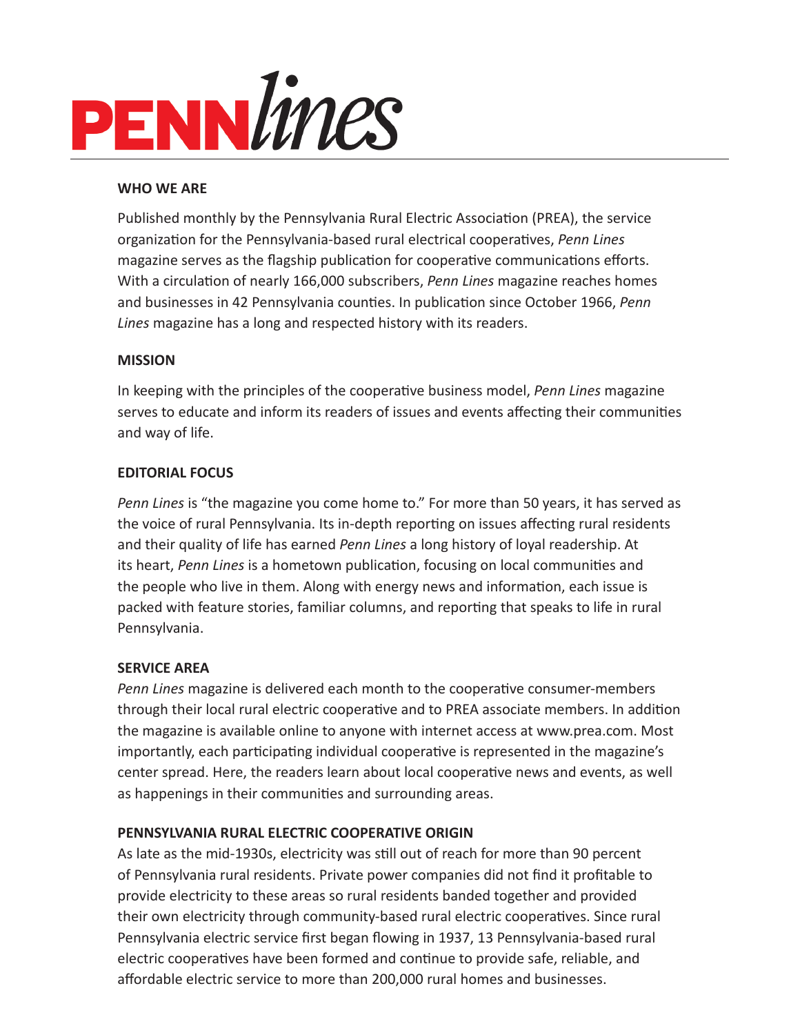

### **WHO WE ARE**

Published monthly by the Pennsylvania Rural Electric Association (PREA), the service organization for the Pennsylvania-based rural electrical cooperatives, *Penn Lines* magazine serves as the flagship publication for cooperative communications efforts. With a circulation of nearly 166,000 subscribers, *Penn Lines* magazine reaches homes and businesses in 42 Pennsylvania counties. In publication since October 1966, *Penn Lines* magazine has a long and respected history with its readers.

### **MISSION**

In keeping with the principles of the cooperative business model, *Penn Lines* magazine serves to educate and inform its readers of issues and events affecting their communities and way of life.

### **EDITORIAL FOCUS**

*Penn Lines* is "the magazine you come home to." For more than 50 years, it has served as the voice of rural Pennsylvania. Its in-depth reporting on issues affecting rural residents and their quality of life has earned *Penn Lines* a long history of loyal readership. At its heart, *Penn Lines* is a hometown publication, focusing on local communities and the people who live in them. Along with energy news and information, each issue is packed with feature stories, familiar columns, and reporting that speaks to life in rural Pennsylvania.

### **SERVICE AREA**

*Penn Lines* magazine is delivered each month to the cooperative consumer-members through their local rural electric cooperative and to PREA associate members. In addition the magazine is available online to anyone with internet access at www.prea.com. Most importantly, each participating individual cooperative is represented in the magazine's center spread. Here, the readers learn about local cooperative news and events, as well as happenings in their communities and surrounding areas.

### **PENNSYLVANIA RURAL ELECTRIC COOPERATIVE ORIGIN**

As late as the mid-1930s, electricity was still out of reach for more than 90 percent of Pennsylvania rural residents. Private power companies did not find it profitable to provide electricity to these areas so rural residents banded together and provided their own electricity through community-based rural electric cooperatives. Since rural Pennsylvania electric service first began flowing in 1937, 13 Pennsylvania-based rural electric cooperatives have been formed and continue to provide safe, reliable, and affordable electric service to more than 200,000 rural homes and businesses.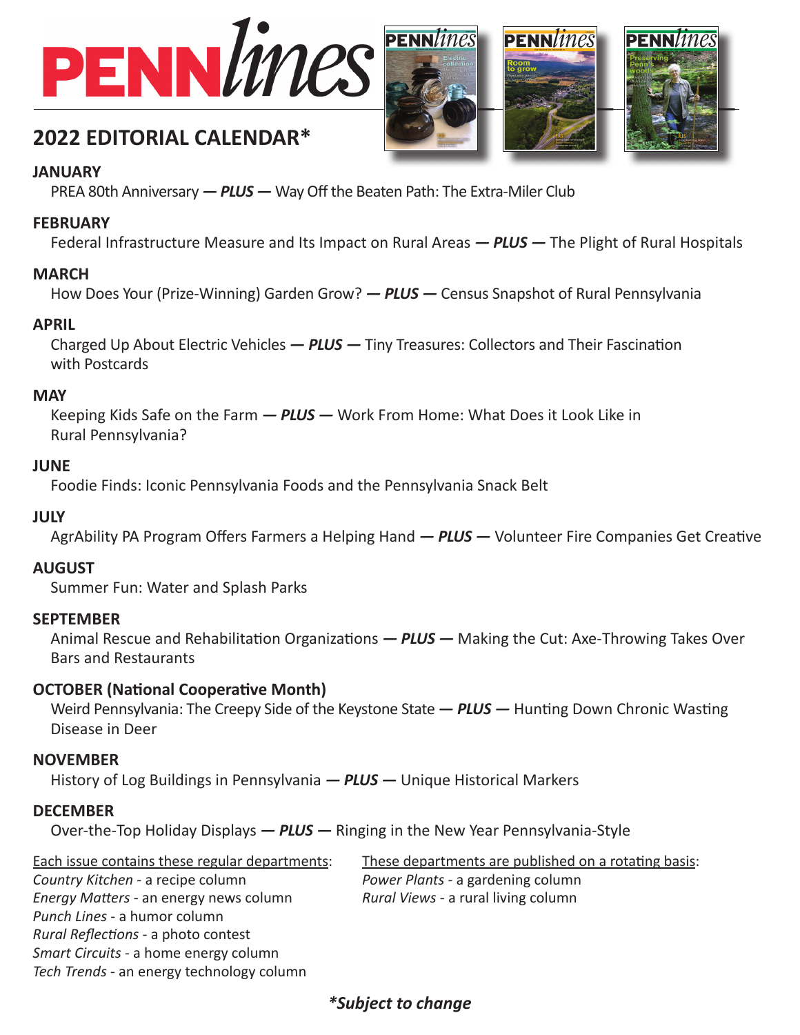



**PENN/ines** 





# **2022 EDITORIAL CALENDAR\***

### **JANUARY**

PREA 80th Anniversary *— PLUS —* Way Off the Beaten Path: The Extra-Miler Club

# **FEBRUARY**

Federal Infrastructure Measure and Its Impact on Rural Areas *— PLUS —* The Plight of Rural Hospitals

# **MARCH**

How Does Your (Prize-Winning) Garden Grow? *— PLUS —* Census Snapshot of Rural Pennsylvania

### **APRIL**

Charged Up About Electric Vehicles - **PLUS** - Tiny Treasures: Collectors and Their Fascination with Postcards

### **MAY**

Keeping Kids Safe on the Farm *— PLUS —* Work From Home: What Does it Look Like in Rural Pennsylvania?

### **JUNE**

Foodie Finds: Iconic Pennsylvania Foods and the Pennsylvania Snack Belt

### **JULY**

AgrAbility PA Program Offers Farmers a Helping Hand - PLUS - Volunteer Fire Companies Get Creative

# **AUGUST**

Summer Fun: Water and Splash Parks

# **SEPTEMBER**

Animal Rescue and Rehabilitation Organizations — **PLUS** — Making the Cut: Axe-Throwing Takes Over Bars and Restaurants

# **OCTOBER (National Cooperative Month)**

*Tech Trends* - an energy technology column

Weird Pennsylvania: The Creepy Side of the Keystone State - **PLUS** - Hunting Down Chronic Wasting Disease in Deer

# **NOVEMBER**

History of Log Buildings in Pennsylvania *— PLUS —* Unique Historical Markers

# **DECEMBER**

Over-the-Top Holiday Displays *— PLUS —* Ringing in the New Year Pennsylvania-Style

| Each issue contains these regular departments: | These departments are published on a rotating basis: |
|------------------------------------------------|------------------------------------------------------|
| Country Kitchen - a recipe column              | Power Plants - a gardening column                    |
| Energy Matters - an energy news column         | Rural Views - a rural living column                  |
| Punch Lines - a humor column                   |                                                      |
| Rural Reflections - a photo contest            |                                                      |
| Smart Circuits - a home energy column          |                                                      |

# *\*Subject to change*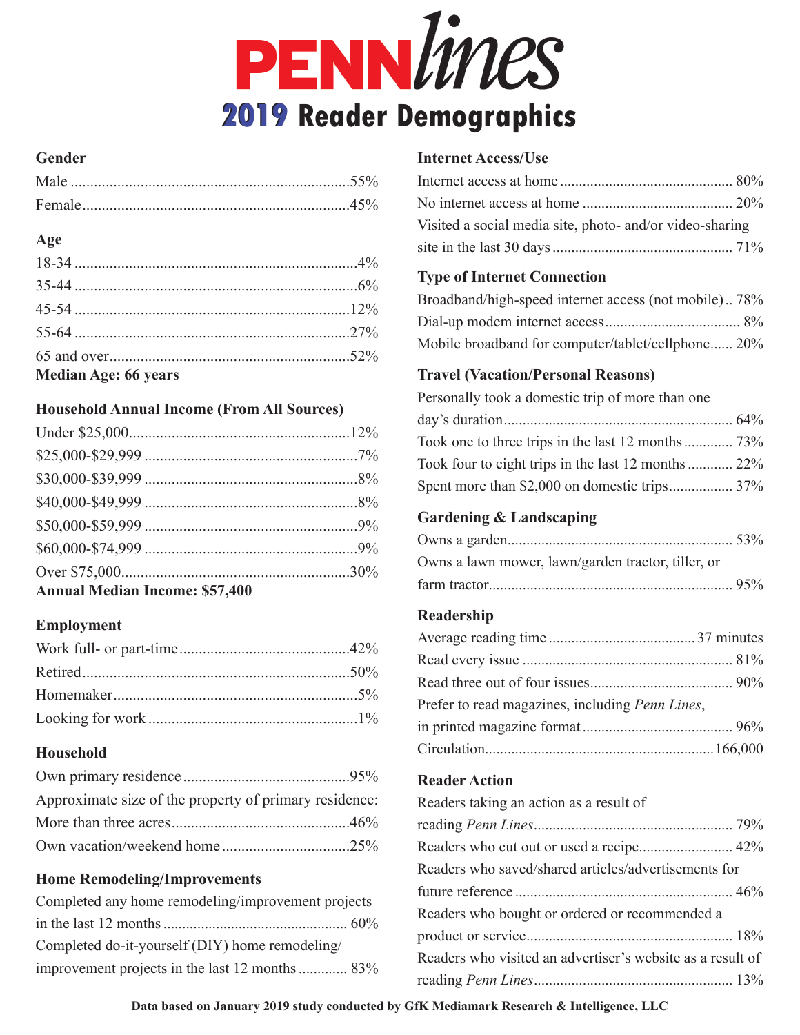

### **Gender**

### **Age**

| Median Age: 66 years |  |
|----------------------|--|

### **Household Annual Income (From All Sources)**

| <b>Annual Median Income: \$57,400</b> |  |
|---------------------------------------|--|

# **Employment**

# **Household**

| Approximate size of the property of primary residence: |  |
|--------------------------------------------------------|--|
|                                                        |  |
|                                                        |  |

# **Home Remodeling/Improvements**

| Completed any home remodeling/improvement projects |  |
|----------------------------------------------------|--|
|                                                    |  |
| Completed do-it-yourself (DIY) home remodeling/    |  |
| improvement projects in the last 12 months  83%    |  |

### **Internet Access/Use**

| Visited a social media site, photo- and/or video-sharing |  |
|----------------------------------------------------------|--|
|                                                          |  |

### **Type of Internet Connection**

| Broadband/high-speed internet access (not mobile) 78% |  |
|-------------------------------------------------------|--|
|                                                       |  |
| Mobile broadband for computer/tablet/cellphone 20%    |  |

# **Travel (Vacation/Personal Reasons)**

| Personally took a domestic trip of more than one    |  |
|-----------------------------------------------------|--|
|                                                     |  |
| Took one to three trips in the last 12 months 73%   |  |
| Took four to eight trips in the last 12 months  22% |  |
| Spent more than \$2,000 on domestic trips 37%       |  |

### **Gardening & Landscaping**

| Owns a lawn mower, lawn/garden tractor, tiller, or |  |
|----------------------------------------------------|--|
|                                                    |  |

### **Readership**

| Prefer to read magazines, including Penn Lines, |  |
|-------------------------------------------------|--|
|                                                 |  |
|                                                 |  |

### **Reader Action**

| Readers taking an action as a result of                    |  |  |  |  |
|------------------------------------------------------------|--|--|--|--|
|                                                            |  |  |  |  |
|                                                            |  |  |  |  |
| Readers who saved/shared articles/advertisements for       |  |  |  |  |
|                                                            |  |  |  |  |
| Readers who bought or ordered or recommended a             |  |  |  |  |
|                                                            |  |  |  |  |
| Readers who visited an advertiser's website as a result of |  |  |  |  |
|                                                            |  |  |  |  |

**Data based on January 2019 study conducted by GfK Mediamark Research & Intelligence, LLC**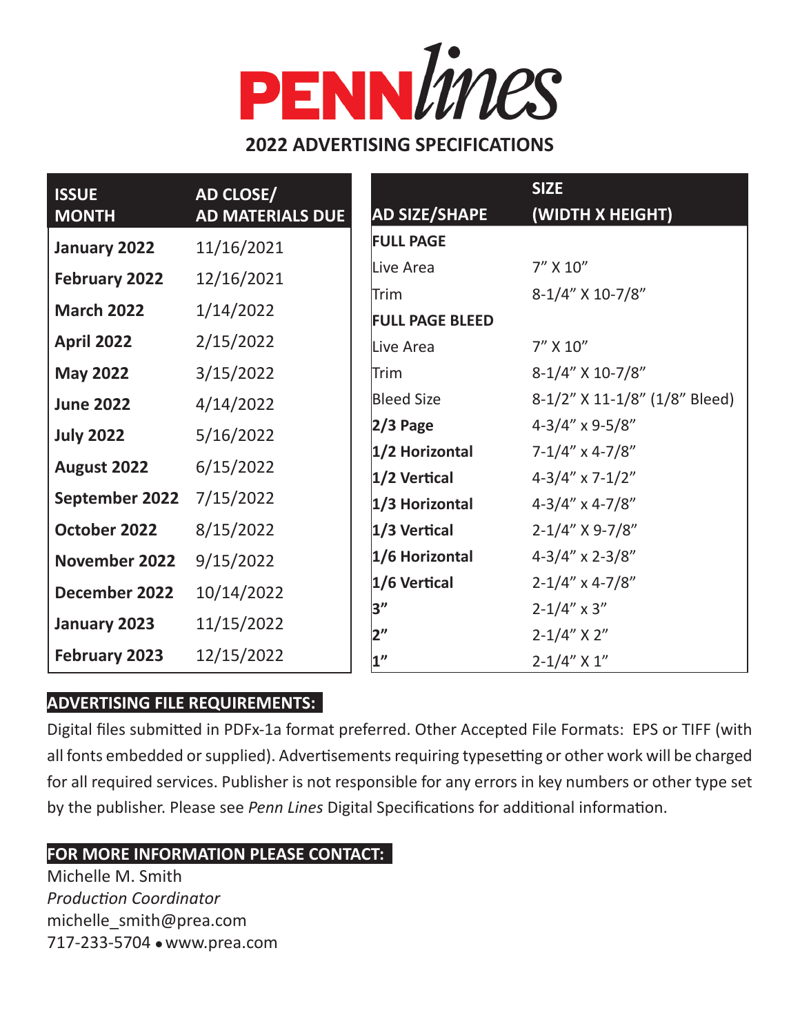# PENNLines

# **2022 ADVERTISING SPECIFICATIONS**

| <b>ISSUE</b><br><b>MONTH</b> | AD CLOSE/<br><b>AD MATERIALS DUE</b> | <b>AD SIZE/SHAPE</b>                | <b>SIZE</b><br>(WIDTH X HEIGHT)                |
|------------------------------|--------------------------------------|-------------------------------------|------------------------------------------------|
| January 2022                 | 11/16/2021                           | <b>FULL PAGE</b>                    |                                                |
| <b>February 2022</b>         | 12/16/2021                           | Live Area                           | $7''$ X $10''$                                 |
| <b>March 2022</b>            | 1/14/2022                            | lTrim                               | 8-1/4" X 10-7/8"                               |
| <b>April 2022</b>            | 2/15/2022                            | <b>FULL PAGE BLEED</b><br>Live Area | 7" X 10"                                       |
| <b>May 2022</b>              | 3/15/2022                            | Trim                                | 8-1/4" X 10-7/8"                               |
| <b>June 2022</b>             | 4/14/2022                            | <b>Bleed Size</b>                   | 8-1/2" X 11-1/8" (1/8" Bleed)                  |
| <b>July 2022</b>             | 5/16/2022                            | $2/3$ Page                          | $4 - 3/4''$ x 9-5/8"                           |
| August 2022                  | 6/15/2022                            | $1/2$ Horizontal                    | $7 - 1/4''$ x 4-7/8"                           |
| September 2022               | 7/15/2022                            | $ 1/2$ Vertical<br>$1/3$ Horizontal | $4-3/4'' \times 7-1/2''$<br>$4-3/4''$ x 4-7/8" |
| October 2022                 | 8/15/2022                            | $1/3$ Vertical                      | $2 - 1/4''$ X 9-7/8"                           |
| November 2022                | 9/15/2022                            | $1/6$ Horizontal                    | $4 - 3/4''$ x 2-3/8"                           |
| December 2022                | 10/14/2022                           | $1/6$ Vertical                      | $2 - 1/4''$ x 4-7/8"                           |
| January 2023                 | 11/15/2022                           | 3"                                  | $2 - 1/4'' \times 3''$                         |
| <b>February 2023</b>         | 12/15/2022                           | 2"<br>1 <sup>''</sup>               | $2 - 1/4''$ X 2"<br>$2 - 1/4''$ X 1"           |

# **ADVERTISING FILE REQUIREMENTS:**

Digital files submitted in PDFx-1a format preferred. Other Accepted File Formats: EPS or TIFF (with all fonts embedded or supplied). Advertisements requiring typesetting or other work will be charged for all required services. Publisher is not responsible for any errors in key numbers or other type set by the publisher. Please see *Penn Lines* Digital Specifications for additional information.

# **FOR MORE INFORMATION PLEASE CONTACT:**

Michelle M. Smith *Production Coordinator* michelle\_smith@prea.com 717-233-5704 . www.prea.com